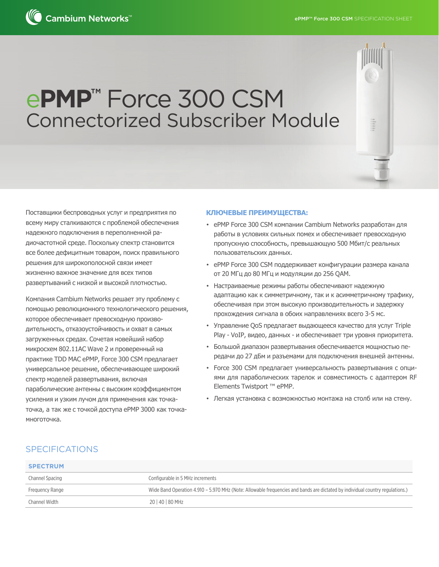0 PML<br>0 Bland<br>0 RSS 1<br>0 RSS 2<br>0 RSS 1

# e**PMP™** Force 300 CSM Connectorized Subscriber Module

Поставщики беспроводных услуг и предприятия по всему миру сталкиваются с проблемой обеспечения надежного подключения в переполненной радиочастотной среде. Поскольку спектр становится все более дефицитным товаром, поиск правильного решения для широкополосной связи имеет жизненно важное значение для всех типов развертываний с низкой и высокой плотностью.

Компания Cambium Networks решает эту проблему с помощью революционного технологического решения, которое обеспечивает превосходную производительность, отказоустойчивость и охват в самых загруженных средах. Сочетая новейший набор микросхем 802.11AC Wave 2 и проверенный на практике TDD MAC ePMP, Force 300 CSM предлагает универсальное решение, обеспечивающее широкий спектр моделей развертывания, включая параболические антенны с высоким коэффициентом усиления и узким лучом для применения как точкаточка, а так же с точкой доступа ePMP 3000 как точкамноготочка.

#### **КЛЮЧЕВЫЕ ПРЕИМУЩЕСТВА:**

- ePMP Force 300 CSM компании Cambium Networks разработан для работы в условиях сильных помех и обеспечивает превосходную пропускную способность, превышающую 500 Мбит/с реальных пользовательских данных.
- ePMP Force 300 CSM поддерживает конфигурации размера канала от 20 МГц до 80 МГц и модуляции до 256 QAM.
- Настраиваемые режимы работы обеспечивают надежную адаптацию как к симметричному, так и к асимметричному трафику, обеспечивая при этом высокую производительность и задержку прохождения сигнала в обоих направлениях всего 3-5 мс.
- Управление QoS предлагает выдающееся качество для услуг Triple Play - VoIP, видео, данных - и обеспечивает три уровня приоритета.
- Большой диапазон развертывания обеспечивается мощностью передачи до 27 дБм и разъемами для подключения внешней антенны.
- Force 300 CSM предлагает универсальность развертывания с опциями для параболических тарелок и совместимость с адаптером RF Elements Twistport ™ ePMP.
- Легкая установка с возможностью монтажа на столб или на стену.

### SPECIFICATIONS

| <b>SPECTRUM</b> |                                                                                                                               |
|-----------------|-------------------------------------------------------------------------------------------------------------------------------|
| Channel Spacing | Configurable in 5 MHz increments                                                                                              |
| Freguency Range | Wide Band Operation 4.910 – 5.970 MHz (Note: Allowable frequencies and bands are dictated by individual country regulations.) |
| Channel Width   | 20   40   80 MHz                                                                                                              |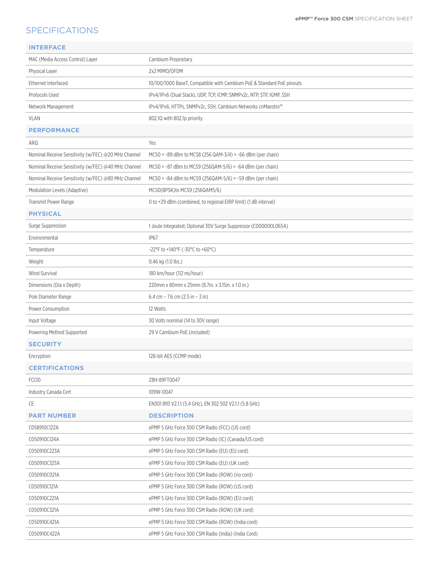## **SPECIFICATIONS**

| <b>INTERFACE</b>                                    |                                                                       |
|-----------------------------------------------------|-----------------------------------------------------------------------|
| MAC (Media Access Control) Layer                    | Cambium Proprietary                                                   |
| Physical Layer                                      | 2x2 MIMO/OFDM                                                         |
| Ethernet Interfaced                                 | 10/100/1000 BaseT, Compatible with Cambium PoE & Standard PoE pinouts |
| Protocols Used                                      | IPv4/IPv6 (Dual Stack), UDP, TCP, ICMP, SNMPv2c, NTP, STP, IGMP, SSH  |
| Network Management                                  | IPv4/IPv6, HTTPs, SNMPv2c, SSH, Cambium Networks cnMaestro™           |
| <b>VLAN</b>                                         | 802.10 with 802.1p priority                                           |
| <b>PERFORMANCE</b>                                  |                                                                       |
| ARQ                                                 | Yes                                                                   |
| Nominal Receive Sensitivity (w/FEC) @20 MHz Channel | $MCSO = -89$ dBm to MCS8 (256 QAM-3/4) = -66 dBm (per chain)          |
| Nominal Receive Sensitivity (w/FEC) @40 MHz Channel | $MCSO = -87$ dBm to MCS9 (256QAM-5/6) = -64 dBm (per chain)           |
| Nominal Receive Sensitivity (w/FEC) @80 MHz Channel | $MCSO = -84$ dBm to MCS9 (256QAM-5/6) = -59 dBm (per chain)           |
| Modulation Levels (Adaptive)                        | MCSO(BPSK)to MCS9 (256QAM5/6)                                         |
| Transmit Power Range                                | 0 to +29 dBm (combined, to regional EIRP limit) (1 dB interval)       |
| <b>PHYSICAL</b>                                     |                                                                       |
| Surge Suppression                                   | 1 Joule Integrated; Optional 30V Surge Suppressor (C000000L065A)      |
| Environmental                                       | <b>IP67</b>                                                           |
| Temperature                                         | -22°F to +140°F (-30°C to +60°C)                                      |
| Weight                                              | 0.46 kg (1.0 lbs.)                                                    |
| <b>Wind Survival</b>                                | 180 km/hour (112 mi/hour)                                             |
| Dimensions (Dia x Depth)                            | 220mm x 80mm x 25mm (8.7in. x 3.15in. x 1.0 in.)                      |
| Pole Diameter Range                                 | 6.4 cm $-$ 7.6 cm (2.5 in $-$ 3 in)                                   |
| Power Consumption                                   | 12 Watts                                                              |
| Input Voltage                                       | 30 Volts nominal (14 to 30V range)                                    |
| Powering Method Supported                           | 29 V Cambium PoE (included)                                           |
| <b>SECURITY</b>                                     |                                                                       |
| Encryption                                          | 128-bit AES (CCMP mode)                                               |
| <b>CERTIFICATIONS</b>                               |                                                                       |
| <b>FCCID</b>                                        | Z8H-89FT0047                                                          |
| Industry Canada Cert                                | 109W-0047                                                             |
| CE                                                  | EN301 893 V2.1.1 (5.4 GHz), EN 302 502 V2.1.1 (5.8 GHz)               |
| <b>PART NUMBER</b>                                  | <b>DESCRIPTION</b>                                                    |
| C058910C122A                                        | ePMP 5 GHz Force 300 CSM Radio (FCC) (US cord)                        |
| C050910C124A                                        | ePMP 5 GHz Force 300 CSM Radio (IC) (Canada/US cord)                  |
| C050910C223A                                        | ePMP 5 GHz Force 300 CSM Radio (EU) (EU cord)                         |
| C050910C323A                                        | ePMP 5 GHz Force 300 CSM Radio (EU) (UK cord)                         |
| C050910C021A                                        | ePMP 5 GHz Force 300 CSM Radio (ROW) (no cord)                        |
| C050910C121A                                        | ePMP 5 GHz Force 300 CSM Radio (ROW) (US cord)                        |
| C050910C221A                                        | ePMP 5 GHz Force 300 CSM Radio (ROW) (EU cord)                        |
| C050910C321A                                        | ePMP 5 GHz Force 300 CSM Radio (ROW) (UK cord)                        |
| C050910C421A                                        | ePMP 5 GHz Force 300 CSM Radio (ROW) (India cord)                     |
| C050910C422A                                        | ePMP 5 GHz Force 300 CSM Radio (India) (India Cord)                   |